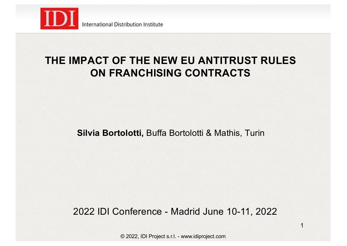

### **THE IMPACT OF THE NEW EU ANTITRUST RULES ON FRANCHISING CONTRACTS**

**Silvia Bortolotti,** Buffa Bortolotti & Mathis, Turin

2022 IDI Conference - Madrid June 10-11, 2022

1

© 2022, IDI Project s.r.l. - www.idiproject.com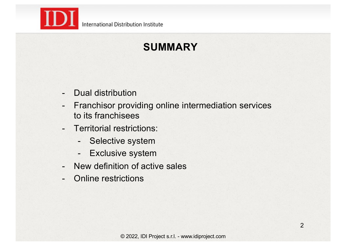

# **SUMMARY**

- Dual distribution
- Franchisor providing online intermediation services to its franchisees
- Territorial restrictions:
	- Selective system
	- Exclusive system
- New definition of active sales
- Online restrictions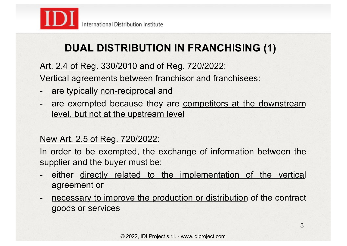

## **DUAL DISTRIBUTION IN FRANCHISING (1)**

### Art. 2.4 of Reg. 330/2010 and of Reg. 720/2022:

Vertical agreements between franchisor and franchisees:

- are typically non-reciprocal and
- are exempted because they are competitors at the downstream level, but not at the upstream level

#### New Art. 2.5 of Reg. 720/2022:

In order to be exempted, the exchange of information between the supplier and the buyer must be:

- either directly related to the implementation of the vertical agreement or
- necessary to improve the production or distribution of the contract goods or services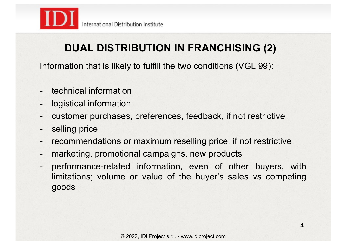

## **DUAL DISTRIBUTION IN FRANCHISING (2)**

Information that is likely to fulfill the two conditions (VGL 99):

- technical information
- logistical information
- customer purchases, preferences, feedback, if not restrictive
- selling price
- recommendations or maximum reselling price, if not restrictive
- marketing, promotional campaigns, new products
- performance-related information, even of other buyers, with limitations; volume or value of the buyer's sales vs competing goods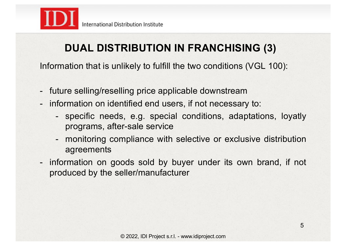

## **DUAL DISTRIBUTION IN FRANCHISING (3)**

Information that is unlikely to fulfill the two conditions (VGL 100):

- future selling/reselling price applicable downstream
- information on identified end users, if not necessary to:
	- specific needs, e.g. special conditions, adaptations, loyatly programs, after-sale service
	- monitoring compliance with selective or exclusive distribution agreements
- information on goods sold by buyer under its own brand, if not produced by the seller/manufacturer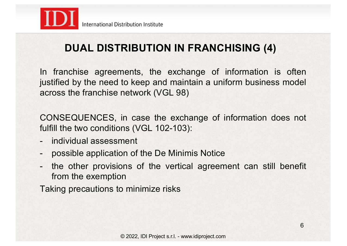

## **DUAL DISTRIBUTION IN FRANCHISING (4)**

In franchise agreements, the exchange of information is often justified by the need to keep and maintain a uniform business model across the franchise network (VGL 98)

CONSEQUENCES, in case the exchange of information does not fulfill the two conditions (VGL 102-103):

- individual assessment
- possible application of the De Minimis Notice
- the other provisions of the vertical agreement can still benefit from the exemption

Taking precautions to minimize risks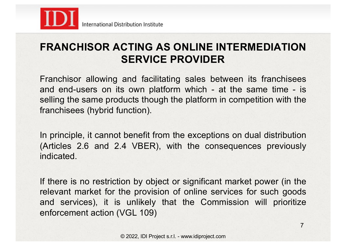

### **FRANCHISOR ACTING AS ONLINE INTERMEDIATION SERVICE PROVIDER**

Franchisor allowing and facilitating sales between its franchisees and end-users on its own platform which - at the same time - is selling the same products though the platform in competition with the franchisees (hybrid function).

In principle, it cannot benefit from the exceptions on dual distribution (Articles 2.6 and 2.4 VBER), with the consequences previously indicated.

If there is no restriction by object or significant market power (in the relevant market for the provision of online services for such goods and services), it is unlikely that the Commission will prioritize enforcement action (VGL 109)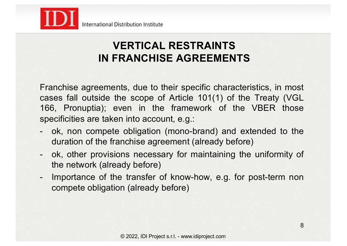

### **VERTICAL RESTRAINTS IN FRANCHISE AGREEMENTS**

Franchise agreements, due to their specific characteristics, in most cases fall outside the scope of Article 101(1) of the Treaty (VGL 166, Pronuptia); even in the framework of the VBER those specificities are taken into account, e.g.:

- ok, non compete obligation (mono-brand) and extended to the duration of the franchise agreement (already before)
- ok, other provisions necessary for maintaining the uniformity of the network (already before)
- Importance of the transfer of know-how, e.g. for post-term non compete obligation (already before)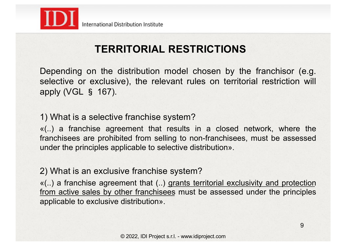

## **TERRITORIAL RESTRICTIONS**

Depending on the distribution model chosen by the franchisor (e.g. selective or exclusive), the relevant rules on territorial restriction will apply (VGL § 167).

1) What is a selective franchise system?

«(..) a franchise agreement that results in a closed network, where the franchisees are prohibited from selling to non-franchisees, must be assessed under the principles applicable to selective distribution».

2) What is an exclusive franchise system?

«(..) a franchise agreement that (..) grants territorial exclusivity and protection from active sales by other franchisees must be assessed under the principles applicable to exclusive distribution».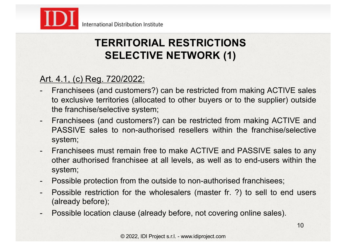

## **TERRITORIAL RESTRICTIONS SELECTIVE NETWORK (1)**

### Art. 4.1, (c) Reg. 720/2022:

- Franchisees (and customers?) can be restricted from making ACTIVE sales to exclusive territories (allocated to other buyers or to the supplier) outside the franchise/selective system;
- Franchisees (and customers?) can be restricted from making ACTIVE and PASSIVE sales to non-authorised resellers within the franchise/selective system;
- Franchisees must remain free to make ACTIVE and PASSIVE sales to any other authorised franchisee at all levels, as well as to end-users within the system;
- Possible protection from the outside to non-authorised franchisees;
- Possible restriction for the wholesalers (master fr. ?) to sell to end users (already before);
- Possible location clause (already before, not covering online sales).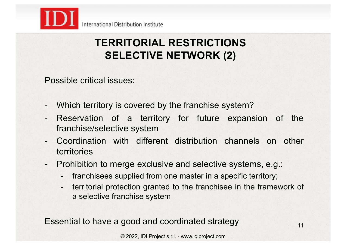

## **TERRITORIAL RESTRICTIONS SELECTIVE NETWORK (2)**

Possible critical issues:

- Which territory is covered by the franchise system?
- Reservation of a territory for future expansion of the franchise/selective system
- Coordination with different distribution channels on other territories
- Prohibition to merge exclusive and selective systems, e.g.:
	- franchisees supplied from one master in a specific territory;
	- territorial protection granted to the franchisee in the framework of a selective franchise system

Essential to have a good and coordinated strategy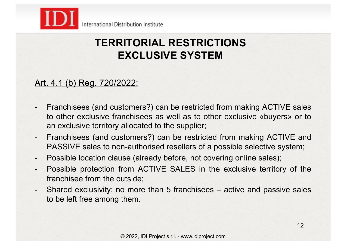

### **TERRITORIAL RESTRICTIONS EXCLUSIVE SYSTEM**

#### Art. 4.1 (b) Reg. 720/2022:

- Franchisees (and customers?) can be restricted from making ACTIVE sales to other exclusive franchisees as well as to other exclusive «buyers» or to an exclusive territory allocated to the supplier;
- Franchisees (and customers?) can be restricted from making ACTIVE and PASSIVE sales to non-authorised resellers of a possible selective system;
- Possible location clause (already before, not covering online sales);
- Possible protection from ACTIVE SALES in the exclusive territory of the franchisee from the outside;
- Shared exclusivity: no more than 5 franchisees active and passive sales to be left free among them.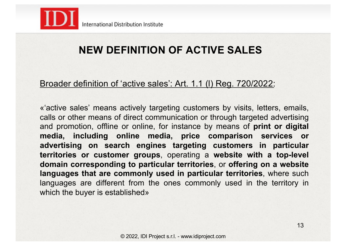

### **NEW DEFINITION OF ACTIVE SALES**

#### Broader definition of 'active sales': Art. 1.1 (l) Reg. 720/2022:

«'active sales' means actively targeting customers by visits, letters, emails, calls or other means of direct communication or through targeted advertising and promotion, offline or online, for instance by means of **print or digital media, including online media, price comparison services or advertising on search engines targeting customers in particular territories or customer groups**, operating a **website with a top-level domain corresponding to particular territories**, or **offering on a website languages that are commonly used in particular territories**, where such languages are different from the ones commonly used in the territory in which the buyer is established»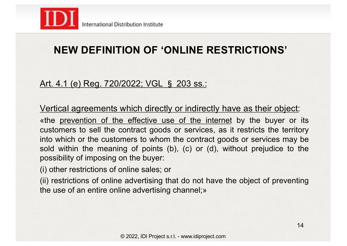

## **NEW DEFINITION OF 'ONLINE RESTRICTIONS'**

### Art. 4.1 (e) Reg. 720/2022; VGL § 203 ss.:

Vertical agreements which directly or indirectly have as their object:

«the prevention of the effective use of the internet by the buyer or its customers to sell the contract goods or services, as it restricts the territory into which or the customers to whom the contract goods or services may be sold within the meaning of points (b), (c) or (d), without prejudice to the possibility of imposing on the buyer:

(i) other restrictions of online sales; or

(ii) restrictions of online advertising that do not have the object of preventing the use of an entire online advertising channel;»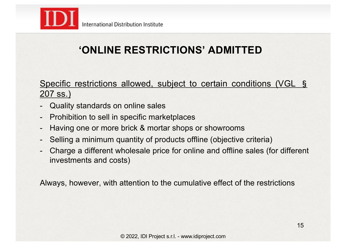

## **'ONLINE RESTRICTIONS' ADMITTED**

Specific restrictions allowed, subject to certain conditions (VGL § 207 ss.)

- Quality standards on online sales
- Prohibition to sell in specific marketplaces
- Having one or more brick & mortar shops or showrooms
- Selling a minimum quantity of products offline (objective criteria)
- Charge a different wholesale price for online and offline sales (for different investments and costs)

Always, however, with attention to the cumulative effect of the restrictions